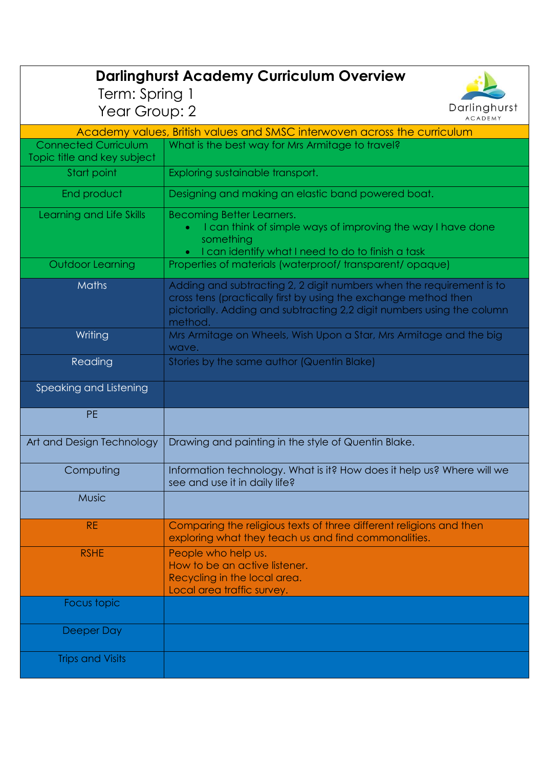| <b>Darlinghurst Academy Curriculum Overview</b>                          |                                                                                                                                                                                                                              |  |
|--------------------------------------------------------------------------|------------------------------------------------------------------------------------------------------------------------------------------------------------------------------------------------------------------------------|--|
| Term: Spring 1                                                           |                                                                                                                                                                                                                              |  |
| Year Group: 2                                                            | Darlinghurst<br><b>ACADEMY</b>                                                                                                                                                                                               |  |
| Academy values, British values and SMSC interwoven across the curriculum |                                                                                                                                                                                                                              |  |
| <b>Connected Curriculum</b>                                              | What is the best way for Mrs Armitage to travel?                                                                                                                                                                             |  |
| Topic title and key subject                                              |                                                                                                                                                                                                                              |  |
| Start point                                                              | Exploring sustainable transport.                                                                                                                                                                                             |  |
| End product                                                              | Designing and making an elastic band powered boat.                                                                                                                                                                           |  |
| Learning and Life Skills                                                 | Becoming Better Learners.<br>I can think of simple ways of improving the way I have done<br>something<br>• I can identify what I need to do to finish a task                                                                 |  |
| Outdoor Learning                                                         | Properties of materials (waterproof/transparent/opaque)                                                                                                                                                                      |  |
| <b>Maths</b>                                                             | Adding and subtracting 2, 2 digit numbers when the requirement is to<br>cross tens (practically first by using the exchange method then<br>pictorially. Adding and subtracting 2,2 digit numbers using the column<br>method. |  |
| Writing                                                                  | Mrs Armitage on Wheels, Wish Upon a Star, Mrs Armitage and the big<br>wave.                                                                                                                                                  |  |
| Reading                                                                  | Stories by the same author (Quentin Blake)                                                                                                                                                                                   |  |
| Speaking and Listening                                                   |                                                                                                                                                                                                                              |  |
| <b>PE</b>                                                                |                                                                                                                                                                                                                              |  |
| Art and Design Technology                                                | Drawing and painting in the style of Quentin Blake.                                                                                                                                                                          |  |
| Computing                                                                | Information technology. What is it? How does it help us? Where will we<br>see and use it in daily life?                                                                                                                      |  |
| <b>Music</b>                                                             |                                                                                                                                                                                                                              |  |
| <b>RE</b>                                                                | Comparing the religious texts of three different religions and then<br>exploring what they teach us and find commonalities.                                                                                                  |  |
| <b>RSHE</b>                                                              | People who help us.<br>How to be an active listener.<br>Recycling in the local area.<br>Local area traffic survey.                                                                                                           |  |
| Focus topic                                                              |                                                                                                                                                                                                                              |  |
| Deeper Day                                                               |                                                                                                                                                                                                                              |  |
| <b>Trips and Visits</b>                                                  |                                                                                                                                                                                                                              |  |